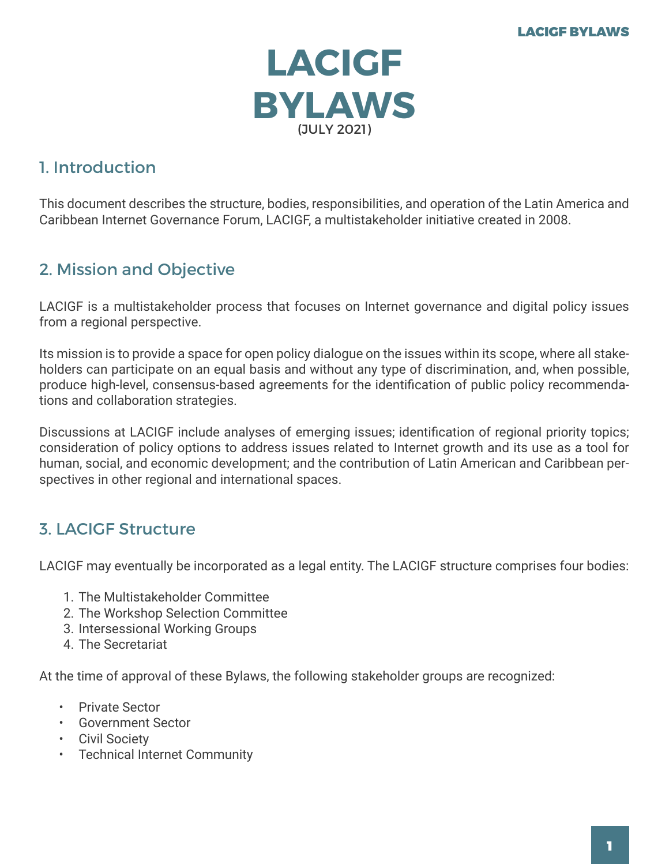

# 1. Introduction

This document describes the structure, bodies, responsibilities, and operation of the Latin America and Caribbean Internet Governance Forum, LACIGF, a multistakeholder initiative created in 2008.

# 2. Mission and Objective

LACIGF is a multistakeholder process that focuses on Internet governance and digital policy issues from a regional perspective.

Its mission is to provide a space for open policy dialogue on the issues within its scope, where all stakeholders can participate on an equal basis and without any type of discrimination, and, when possible, produce high-level, consensus-based agreements for the identification of public policy recommendations and collaboration strategies.

Discussions at LACIGF include analyses of emerging issues; identification of regional priority topics; consideration of policy options to address issues related to Internet growth and its use as a tool for human, social, and economic development; and the contribution of Latin American and Caribbean perspectives in other regional and international spaces.

## 3. LACIGF Structure

LACIGF may eventually be incorporated as a legal entity. The LACIGF structure comprises four bodies:

- 1. The Multistakeholder Committee
- 2. The Workshop Selection Committee
- 3. Intersessional Working Groups
- 4. The Secretariat

At the time of approval of these Bylaws, the following stakeholder groups are recognized:

- Private Sector
- Government Sector
- Civil Society
- Technical Internet Community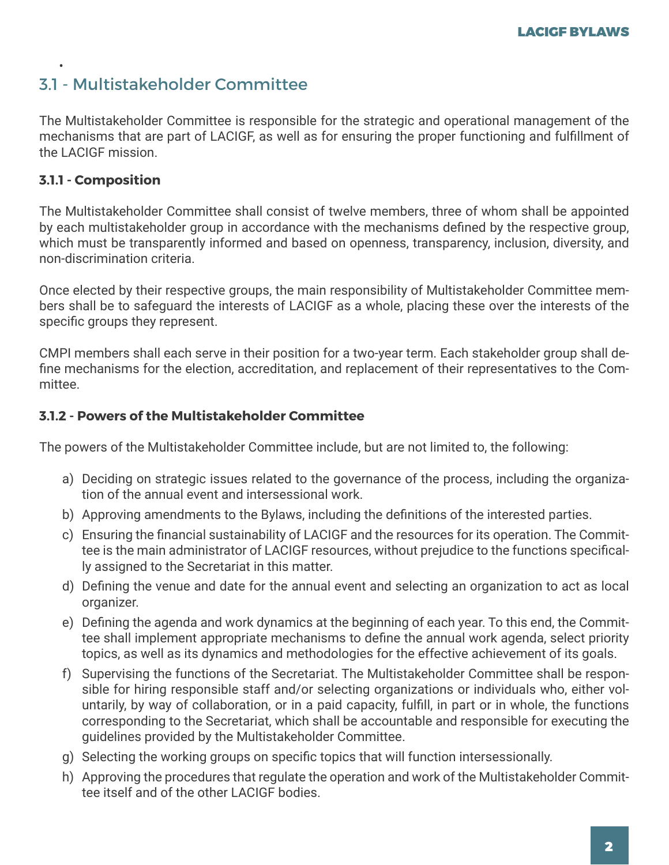### 3.1 - Multistakeholder Committee

The Multistakeholder Committee is responsible for the strategic and operational management of the mechanisms that are part of LACIGF, as well as for ensuring the proper functioning and fulfillment of the LACIGF mission.

#### **3.1.1 - Composition**

•

The Multistakeholder Committee shall consist of twelve members, three of whom shall be appointed by each multistakeholder group in accordance with the mechanisms defined by the respective group, which must be transparently informed and based on openness, transparency, inclusion, diversity, and non-discrimination criteria.

Once elected by their respective groups, the main responsibility of Multistakeholder Committee members shall be to safeguard the interests of LACIGF as a whole, placing these over the interests of the specific groups they represent.

CMPI members shall each serve in their position for a two-year term. Each stakeholder group shall define mechanisms for the election, accreditation, and replacement of their representatives to the Committee.

#### **3.1.2 - Powers of the Multistakeholder Committee**

The powers of the Multistakeholder Committee include, but are not limited to, the following:

- a) Deciding on strategic issues related to the governance of the process, including the organization of the annual event and intersessional work.
- b) Approving amendments to the Bylaws, including the definitions of the interested parties.
- c) Ensuring the financial sustainability of LACIGF and the resources for its operation. The Committee is the main administrator of LACIGF resources, without prejudice to the functions specifically assigned to the Secretariat in this matter.
- d) Defining the venue and date for the annual event and selecting an organization to act as local organizer.
- e) Defining the agenda and work dynamics at the beginning of each year. To this end, the Committee shall implement appropriate mechanisms to define the annual work agenda, select priority topics, as well as its dynamics and methodologies for the effective achievement of its goals.
- f) Supervising the functions of the Secretariat. The Multistakeholder Committee shall be responsible for hiring responsible staff and/or selecting organizations or individuals who, either voluntarily, by way of collaboration, or in a paid capacity, fulfill, in part or in whole, the functions corresponding to the Secretariat, which shall be accountable and responsible for executing the guidelines provided by the Multistakeholder Committee.
- g) Selecting the working groups on specific topics that will function intersessionally.
- h) Approving the procedures that regulate the operation and work of the Multistakeholder Committee itself and of the other LACIGF bodies.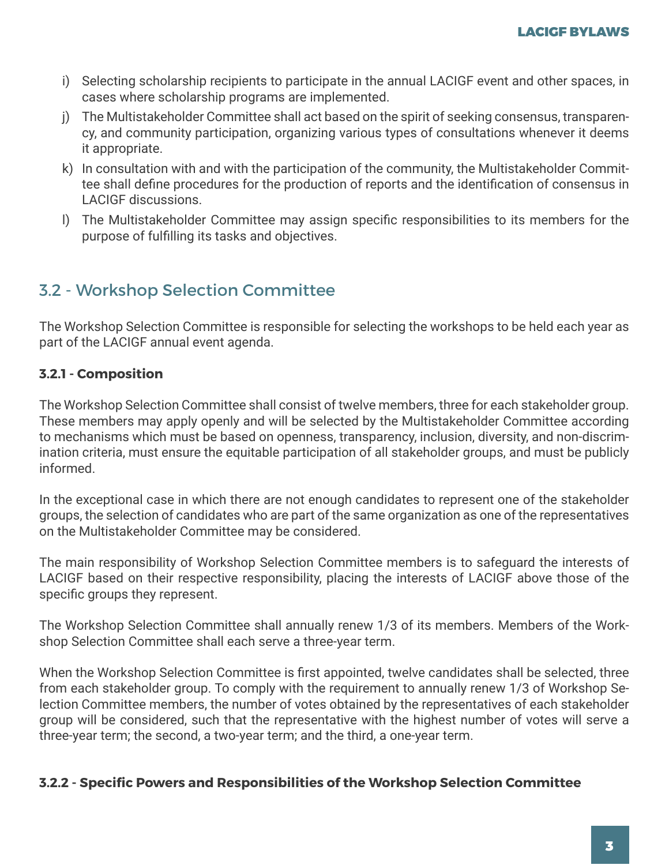- i) Selecting scholarship recipients to participate in the annual LACIGF event and other spaces, in cases where scholarship programs are implemented.
- j) The Multistakeholder Committee shall act based on the spirit of seeking consensus, transparency, and community participation, organizing various types of consultations whenever it deems it appropriate.
- k) In consultation with and with the participation of the community, the Multistakeholder Committee shall define procedures for the production of reports and the identification of consensus in LACIGF discussions.
- l) The Multistakeholder Committee may assign specific responsibilities to its members for the purpose of fulfilling its tasks and objectives.

## 3.2 - Workshop Selection Committee

The Workshop Selection Committee is responsible for selecting the workshops to be held each year as part of the LACIGF annual event agenda.

#### **3.2.1 - Composition**

The Workshop Selection Committee shall consist of twelve members, three for each stakeholder group. These members may apply openly and will be selected by the Multistakeholder Committee according to mechanisms which must be based on openness, transparency, inclusion, diversity, and non-discrimination criteria, must ensure the equitable participation of all stakeholder groups, and must be publicly informed.

In the exceptional case in which there are not enough candidates to represent one of the stakeholder groups, the selection of candidates who are part of the same organization as one of the representatives on the Multistakeholder Committee may be considered.

The main responsibility of Workshop Selection Committee members is to safeguard the interests of LACIGF based on their respective responsibility, placing the interests of LACIGF above those of the specific groups they represent.

The Workshop Selection Committee shall annually renew 1/3 of its members. Members of the Workshop Selection Committee shall each serve a three-year term.

When the Workshop Selection Committee is first appointed, twelve candidates shall be selected, three from each stakeholder group. To comply with the requirement to annually renew 1/3 of Workshop Selection Committee members, the number of votes obtained by the representatives of each stakeholder group will be considered, such that the representative with the highest number of votes will serve a three-year term; the second, a two-year term; and the third, a one-year term.

#### **3.2.2 - Specific Powers and Responsibilities of the Workshop Selection Committee**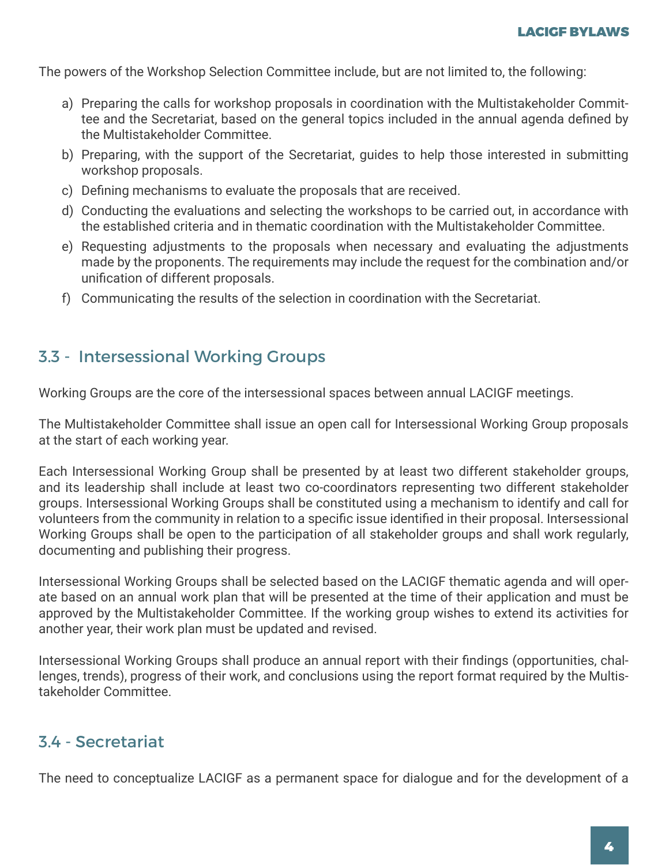The powers of the Workshop Selection Committee include, but are not limited to, the following:

- a) Preparing the calls for workshop proposals in coordination with the Multistakeholder Committee and the Secretariat, based on the general topics included in the annual agenda defined by the Multistakeholder Committee.
- b) Preparing, with the support of the Secretariat, guides to help those interested in submitting workshop proposals.
- c) Defining mechanisms to evaluate the proposals that are received.
- d) Conducting the evaluations and selecting the workshops to be carried out, in accordance with the established criteria and in thematic coordination with the Multistakeholder Committee.
- e) Requesting adjustments to the proposals when necessary and evaluating the adjustments made by the proponents. The requirements may include the request for the combination and/or unification of different proposals.
- f) Communicating the results of the selection in coordination with the Secretariat.

## 3.3 - Intersessional Working Groups

Working Groups are the core of the intersessional spaces between annual LACIGF meetings.

The Multistakeholder Committee shall issue an open call for Intersessional Working Group proposals at the start of each working year.

Each Intersessional Working Group shall be presented by at least two different stakeholder groups, and its leadership shall include at least two co-coordinators representing two different stakeholder groups. Intersessional Working Groups shall be constituted using a mechanism to identify and call for volunteers from the community in relation to a specific issue identified in their proposal. Intersessional Working Groups shall be open to the participation of all stakeholder groups and shall work regularly, documenting and publishing their progress.

Intersessional Working Groups shall be selected based on the LACIGF thematic agenda and will operate based on an annual work plan that will be presented at the time of their application and must be approved by the Multistakeholder Committee. If the working group wishes to extend its activities for another year, their work plan must be updated and revised.

Intersessional Working Groups shall produce an annual report with their findings (opportunities, challenges, trends), progress of their work, and conclusions using the report format required by the Multistakeholder Committee.

# 3.4 - Secretariat

The need to conceptualize LACIGF as a permanent space for dialogue and for the development of a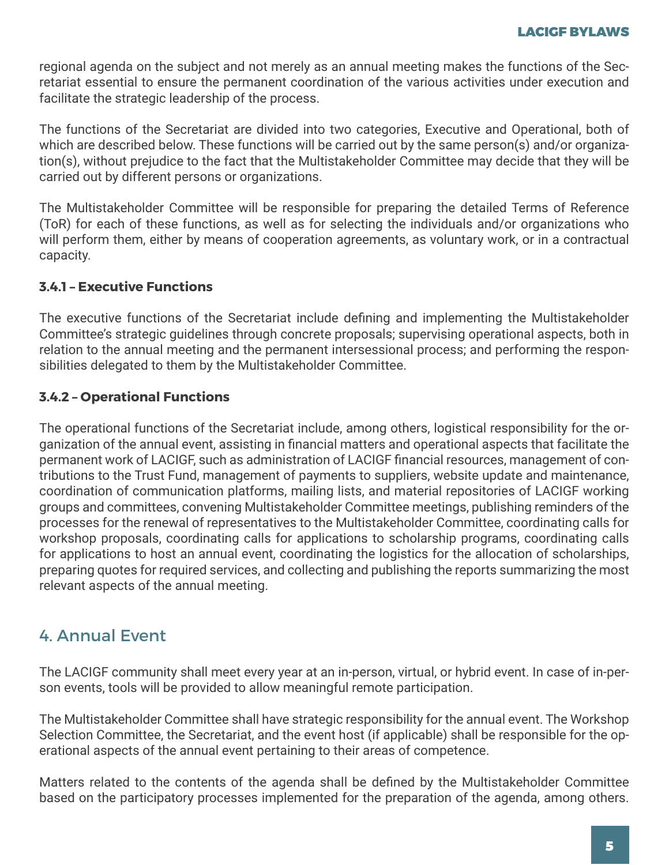regional agenda on the subject and not merely as an annual meeting makes the functions of the Secretariat essential to ensure the permanent coordination of the various activities under execution and facilitate the strategic leadership of the process.

The functions of the Secretariat are divided into two categories, Executive and Operational, both of which are described below. These functions will be carried out by the same person(s) and/or organization(s), without prejudice to the fact that the Multistakeholder Committee may decide that they will be carried out by different persons or organizations.

The Multistakeholder Committee will be responsible for preparing the detailed Terms of Reference (ToR) for each of these functions, as well as for selecting the individuals and/or organizations who will perform them, either by means of cooperation agreements, as voluntary work, or in a contractual capacity.

#### **3.4.1 – Executive Functions**

The executive functions of the Secretariat include defining and implementing the Multistakeholder Committee's strategic guidelines through concrete proposals; supervising operational aspects, both in relation to the annual meeting and the permanent intersessional process; and performing the responsibilities delegated to them by the Multistakeholder Committee.

#### **3.4.2 – Operational Functions**

The operational functions of the Secretariat include, among others, logistical responsibility for the organization of the annual event, assisting in financial matters and operational aspects that facilitate the permanent work of LACIGF, such as administration of LACIGF financial resources, management of contributions to the Trust Fund, management of payments to suppliers, website update and maintenance, coordination of communication platforms, mailing lists, and material repositories of LACIGF working groups and committees, convening Multistakeholder Committee meetings, publishing reminders of the processes for the renewal of representatives to the Multistakeholder Committee, coordinating calls for workshop proposals, coordinating calls for applications to scholarship programs, coordinating calls for applications to host an annual event, coordinating the logistics for the allocation of scholarships, preparing quotes for required services, and collecting and publishing the reports summarizing the most relevant aspects of the annual meeting.

## 4. Annual Event

The LACIGF community shall meet every year at an in-person, virtual, or hybrid event. In case of in-person events, tools will be provided to allow meaningful remote participation.

The Multistakeholder Committee shall have strategic responsibility for the annual event. The Workshop Selection Committee, the Secretariat, and the event host (if applicable) shall be responsible for the operational aspects of the annual event pertaining to their areas of competence.

Matters related to the contents of the agenda shall be defined by the Multistakeholder Committee based on the participatory processes implemented for the preparation of the agenda, among others.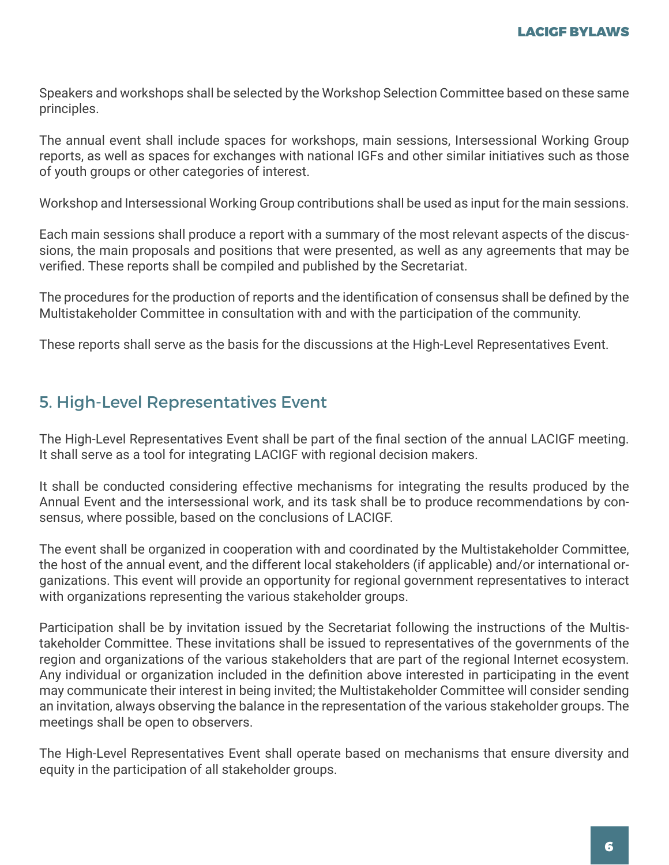Speakers and workshops shall be selected by the Workshop Selection Committee based on these same principles.

The annual event shall include spaces for workshops, main sessions, Intersessional Working Group reports, as well as spaces for exchanges with national IGFs and other similar initiatives such as those of youth groups or other categories of interest.

Workshop and Intersessional Working Group contributions shall be used as input for the main sessions.

Each main sessions shall produce a report with a summary of the most relevant aspects of the discussions, the main proposals and positions that were presented, as well as any agreements that may be verified. These reports shall be compiled and published by the Secretariat.

The procedures for the production of reports and the identification of consensus shall be defined by the Multistakeholder Committee in consultation with and with the participation of the community.

These reports shall serve as the basis for the discussions at the High-Level Representatives Event.

### 5. High-Level Representatives Event

The High-Level Representatives Event shall be part of the final section of the annual LACIGF meeting. It shall serve as a tool for integrating LACIGF with regional decision makers.

It shall be conducted considering effective mechanisms for integrating the results produced by the Annual Event and the intersessional work, and its task shall be to produce recommendations by consensus, where possible, based on the conclusions of LACIGF.

The event shall be organized in cooperation with and coordinated by the Multistakeholder Committee, the host of the annual event, and the different local stakeholders (if applicable) and/or international organizations. This event will provide an opportunity for regional government representatives to interact with organizations representing the various stakeholder groups.

Participation shall be by invitation issued by the Secretariat following the instructions of the Multistakeholder Committee. These invitations shall be issued to representatives of the governments of the region and organizations of the various stakeholders that are part of the regional Internet ecosystem. Any individual or organization included in the definition above interested in participating in the event may communicate their interest in being invited; the Multistakeholder Committee will consider sending an invitation, always observing the balance in the representation of the various stakeholder groups. The meetings shall be open to observers.

The High-Level Representatives Event shall operate based on mechanisms that ensure diversity and equity in the participation of all stakeholder groups.